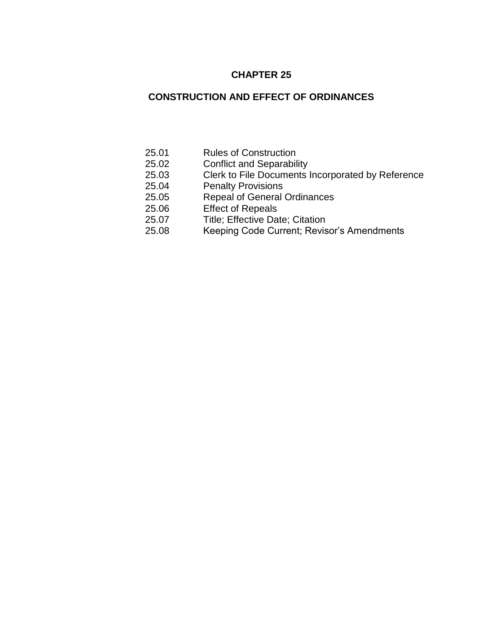## **CHAPTER 25**

# **CONSTRUCTION AND EFFECT OF ORDINANCES**

- 25.01 Rules of Construction
- 25.02 Conflict and Separability
- 25.03 Clerk to File Documents Incorporated by Reference
- 25.04 Penalty Provisions
- 25.05 Repeal of General Ordinances
- 25.06 Effect of Repeals<br>25.07 Title: Effective Dat
- Title; Effective Date; Citation
- 25.08 Keeping Code Current; Revisor's Amendments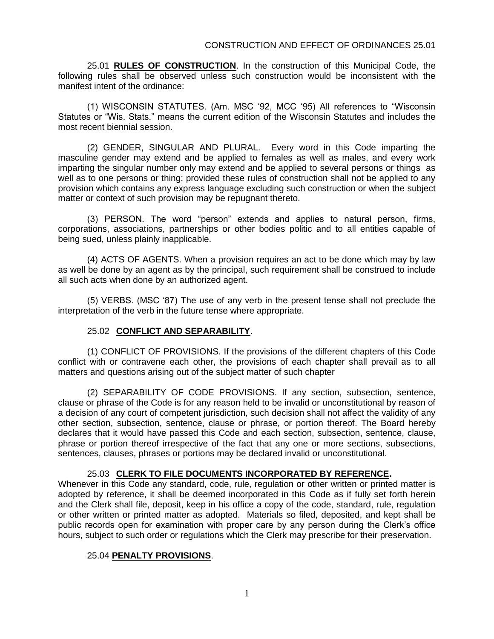25.01 **RULES OF CONSTRUCTION**. In the construction of this Municipal Code, the following rules shall be observed unless such construction would be inconsistent with the manifest intent of the ordinance:

(1) WISCONSIN STATUTES. (Am. MSC '92, MCC '95) All references to "Wisconsin Statutes or "Wis. Stats." means the current edition of the Wisconsin Statutes and includes the most recent biennial session.

(2) GENDER, SINGULAR AND PLURAL. Every word in this Code imparting the masculine gender may extend and be applied to females as well as males, and every work imparting the singular number only may extend and be applied to several persons or things as well as to one persons or thing; provided these rules of construction shall not be applied to any provision which contains any express language excluding such construction or when the subject matter or context of such provision may be repugnant thereto.

(3) PERSON. The word "person" extends and applies to natural person, firms, corporations, associations, partnerships or other bodies politic and to all entities capable of being sued, unless plainly inapplicable.

(4) ACTS OF AGENTS. When a provision requires an act to be done which may by law as well be done by an agent as by the principal, such requirement shall be construed to include all such acts when done by an authorized agent.

(5) VERBS. (MSC '87) The use of any verb in the present tense shall not preclude the interpretation of the verb in the future tense where appropriate.

### 25.02 **CONFLICT AND SEPARABILITY**.

(1) CONFLICT OF PROVISIONS. If the provisions of the different chapters of this Code conflict with or contravene each other, the provisions of each chapter shall prevail as to all matters and questions arising out of the subject matter of such chapter

(2) SEPARABILITY OF CODE PROVISIONS. If any section, subsection, sentence, clause or phrase of the Code is for any reason held to be invalid or unconstitutional by reason of a decision of any court of competent jurisdiction, such decision shall not affect the validity of any other section, subsection, sentence, clause or phrase, or portion thereof. The Board hereby declares that it would have passed this Code and each section, subsection, sentence, clause, phrase or portion thereof irrespective of the fact that any one or more sections, subsections, sentences, clauses, phrases or portions may be declared invalid or unconstitutional.

25.03 **CLERK TO FILE DOCUMENTS INCORPORATED BY REFERENCE.**

Whenever in this Code any standard, code, rule, regulation or other written or printed matter is adopted by reference, it shall be deemed incorporated in this Code as if fully set forth herein and the Clerk shall file, deposit, keep in his office a copy of the code, standard, rule, regulation or other written or printed matter as adopted. Materials so filed, deposited, and kept shall be public records open for examination with proper care by any person during the Clerk's office hours, subject to such order or regulations which the Clerk may prescribe for their preservation.

### 25.04 **PENALTY PROVISIONS**.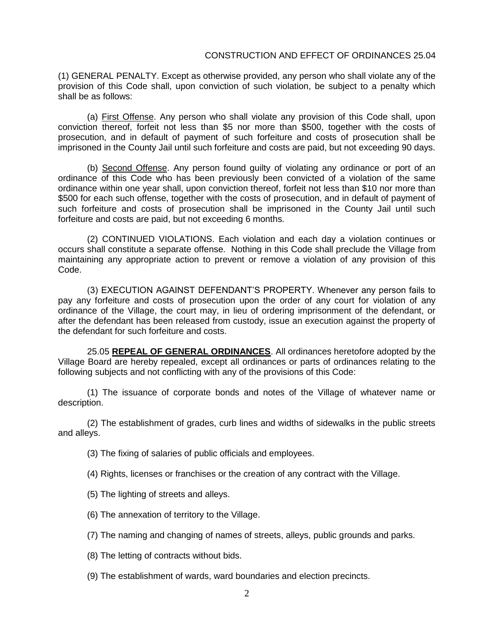#### CONSTRUCTION AND EFFECT OF ORDINANCES 25.04

(1) GENERAL PENALTY. Except as otherwise provided, any person who shall violate any of the provision of this Code shall, upon conviction of such violation, be subject to a penalty which shall be as follows:

(a) First Offense. Any person who shall violate any provision of this Code shall, upon conviction thereof, forfeit not less than \$5 nor more than \$500, together with the costs of prosecution, and in default of payment of such forfeiture and costs of prosecution shall be imprisoned in the County Jail until such forfeiture and costs are paid, but not exceeding 90 days.

(b) Second Offense. Any person found guilty of violating any ordinance or port of an ordinance of this Code who has been previously been convicted of a violation of the same ordinance within one year shall, upon conviction thereof, forfeit not less than \$10 nor more than \$500 for each such offense, together with the costs of prosecution, and in default of payment of such forfeiture and costs of prosecution shall be imprisoned in the County Jail until such forfeiture and costs are paid, but not exceeding 6 months.

(2) CONTINUED VIOLATIONS. Each violation and each day a violation continues or occurs shall constitute a separate offense. Nothing in this Code shall preclude the Village from maintaining any appropriate action to prevent or remove a violation of any provision of this Code.

(3) EXECUTION AGAINST DEFENDANT'S PROPERTY. Whenever any person fails to pay any forfeiture and costs of prosecution upon the order of any court for violation of any ordinance of the Village, the court may, in lieu of ordering imprisonment of the defendant, or after the defendant has been released from custody, issue an execution against the property of the defendant for such forfeiture and costs.

25.05 **REPEAL OF GENERAL ORDINANCES**. All ordinances heretofore adopted by the Village Board are hereby repealed, except all ordinances or parts of ordinances relating to the following subjects and not conflicting with any of the provisions of this Code:

(1) The issuance of corporate bonds and notes of the Village of whatever name or description.

(2) The establishment of grades, curb lines and widths of sidewalks in the public streets and alleys.

- (3) The fixing of salaries of public officials and employees.
- (4) Rights, licenses or franchises or the creation of any contract with the Village.
- (5) The lighting of streets and alleys.
- (6) The annexation of territory to the Village.
- (7) The naming and changing of names of streets, alleys, public grounds and parks.
- (8) The letting of contracts without bids.
- (9) The establishment of wards, ward boundaries and election precincts.